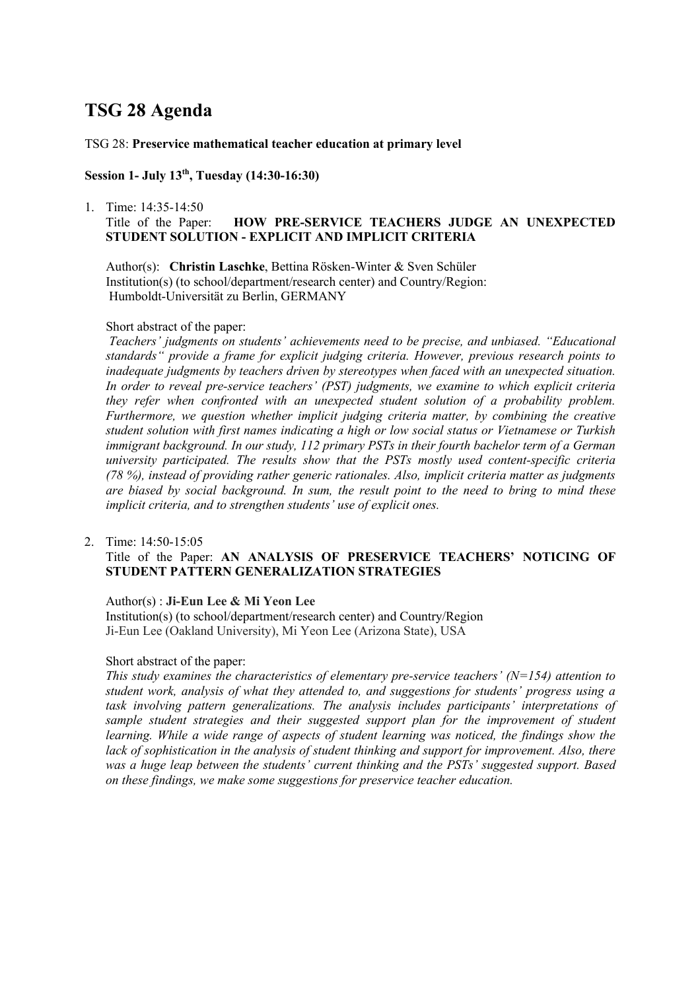# **TSG 28 Agenda**

### TSG 28: **Preservice mathematical teacher education at primary level**

## **Session 1- July 13th, Tuesday (14:30-16:30)**

### 1. Time: 14:35-14:50 Title of the Paper: **HOW PRE-SERVICE TEACHERS JUDGE AN UNEXPECTED STUDENT SOLUTION - EXPLICIT AND IMPLICIT CRITERIA**

Author(s): **Christin Laschke**, Bettina Rösken-Winter & Sven Schüler Institution(s) (to school/department/research center) and Country/Region: Humboldt-Universität zu Berlin, GERMANY

#### Short abstract of the paper:

*Teachers' judgments on students' achievements need to be precise, and unbiased. "Educational standards" provide a frame for explicit judging criteria. However, previous research points to inadequate judgments by teachers driven by stereotypes when faced with an unexpected situation. In order to reveal pre-service teachers' (PST) judgments, we examine to which explicit criteria they refer when confronted with an unexpected student solution of a probability problem. Furthermore, we question whether implicit judging criteria matter, by combining the creative student solution with first names indicating a high or low social status or Vietnamese or Turkish immigrant background. In our study, 112 primary PSTs in their fourth bachelor term of a German university participated. The results show that the PSTs mostly used content-specific criteria (78 %), instead of providing rather generic rationales. Also, implicit criteria matter as judgments are biased by social background. In sum, the result point to the need to bring to mind these implicit criteria, and to strengthen students' use of explicit ones.*

### 2. Time: 14:50-15:05

### Title of the Paper: **AN ANALYSIS OF PRESERVICE TEACHERS' NOTICING OF STUDENT PATTERN GENERALIZATION STRATEGIES**

#### Author(s) : **Ji-Eun Lee & Mi Yeon Lee**

Institution(s) (to school/department/research center) and Country/Region Ji-Eun Lee (Oakland University), Mi Yeon Lee (Arizona State), USA

#### Short abstract of the paper:

*This study examines the characteristics of elementary pre-service teachers' (N=154) attention to student work, analysis of what they attended to, and suggestions for students' progress using a task involving pattern generalizations. The analysis includes participants' interpretations of sample student strategies and their suggested support plan for the improvement of student learning. While a wide range of aspects of student learning was noticed, the findings show the lack of sophistication in the analysis of student thinking and support for improvement. Also, there was a huge leap between the students' current thinking and the PSTs' suggested support. Based on these findings, we make some suggestions for preservice teacher education.*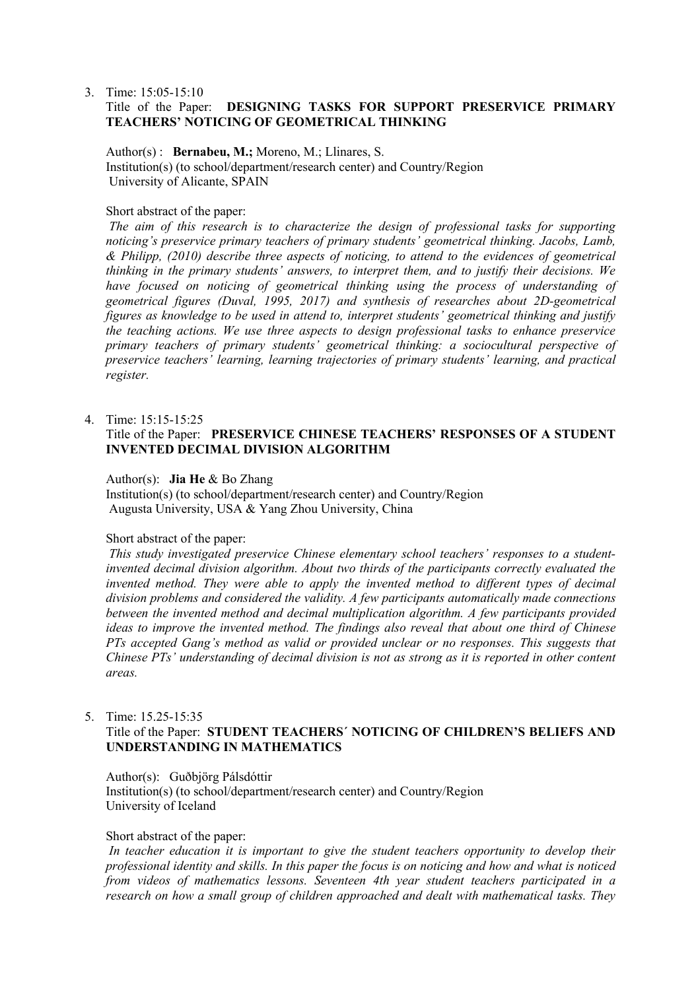3. Time: 15:05-15:10

### Title of the Paper: **DESIGNING TASKS FOR SUPPORT PRESERVICE PRIMARY TEACHERS' NOTICING OF GEOMETRICAL THINKING**

Author(s) : **Bernabeu, M.;** Moreno, M.; Llinares, S. Institution(s) (to school/department/research center) and Country/Region University of Alicante, SPAIN

### Short abstract of the paper:

*The aim of this research is to characterize the design of professional tasks for supporting noticing's preservice primary teachers of primary students' geometrical thinking. Jacobs, Lamb, & Philipp, (2010) describe three aspects of noticing, to attend to the evidences of geometrical thinking in the primary students' answers, to interpret them, and to justify their decisions. We have focused on noticing of geometrical thinking using the process of understanding of geometrical figures (Duval, 1995, 2017) and synthesis of researches about 2D-geometrical figures as knowledge to be used in attend to, interpret students' geometrical thinking and justify the teaching actions. We use three aspects to design professional tasks to enhance preservice primary teachers of primary students' geometrical thinking: a sociocultural perspective of preservice teachers' learning, learning trajectories of primary students' learning, and practical register.*

#### 4. Time: 15:15-15:25

### Title of the Paper: **PRESERVICE CHINESE TEACHERS' RESPONSES OF A STUDENT INVENTED DECIMAL DIVISION ALGORITHM**

#### Author(s): **Jia He** & Bo Zhang

Institution(s) (to school/department/research center) and Country/Region Augusta University, USA & Yang Zhou University, China

### Short abstract of the paper:

*This study investigated preservice Chinese elementary school teachers' responses to a studentinvented decimal division algorithm. About two thirds of the participants correctly evaluated the invented method. They were able to apply the invented method to different types of decimal division problems and considered the validity. A few participants automatically made connections between the invented method and decimal multiplication algorithm. A few participants provided ideas to improve the invented method. The findings also reveal that about one third of Chinese PTs accepted Gang's method as valid or provided unclear or no responses. This suggests that Chinese PTs' understanding of decimal division is not as strong as it is reported in other content areas.*

### 5. Time: 15.25-15:35

## Title of the Paper: **STUDENT TEACHERS´ NOTICING OF CHILDREN'S BELIEFS AND UNDERSTANDING IN MATHEMATICS**

Author(s): Guðbjörg Pálsdóttir Institution(s) (to school/department/research center) and Country/Region University of Iceland

#### Short abstract of the paper:

*In teacher education it is important to give the student teachers opportunity to develop their professional identity and skills. In this paper the focus is on noticing and how and what is noticed from videos of mathematics lessons. Seventeen 4th year student teachers participated in a research on how a small group of children approached and dealt with mathematical tasks. They*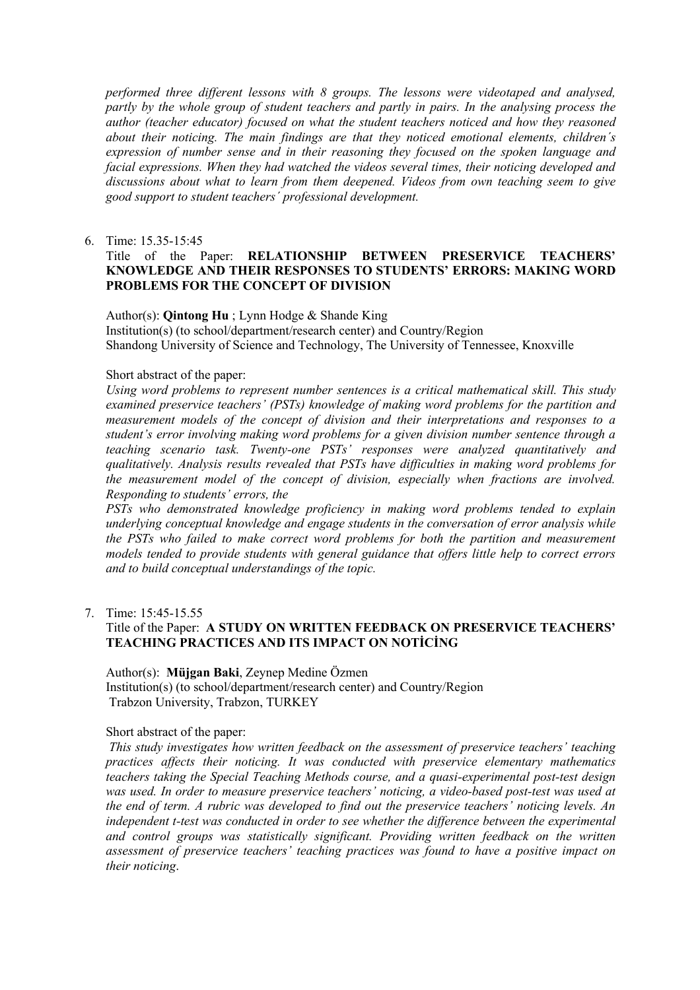*performed three different lessons with 8 groups. The lessons were videotaped and analysed, partly by the whole group of student teachers and partly in pairs. In the analysing process the author (teacher educator) focused on what the student teachers noticed and how they reasoned about their noticing. The main findings are that they noticed emotional elements, children´s expression of number sense and in their reasoning they focused on the spoken language and facial expressions. When they had watched the videos several times, their noticing developed and discussions about what to learn from them deepened. Videos from own teaching seem to give good support to student teachers´ professional development.*

6. Time: 15.35-15:45

### Title of the Paper: **RELATIONSHIP BETWEEN PRESERVICE TEACHERS' KNOWLEDGE AND THEIR RESPONSES TO STUDENTS' ERRORS: MAKING WORD PROBLEMS FOR THE CONCEPT OF DIVISION**

#### Author(s): **Qintong Hu** ; Lynn Hodge & Shande King

Institution(s) (to school/department/research center) and Country/Region Shandong University of Science and Technology, The University of Tennessee, Knoxville

#### Short abstract of the paper:

*Using word problems to represent number sentences is a critical mathematical skill. This study examined preservice teachers' (PSTs) knowledge of making word problems for the partition and measurement models of the concept of division and their interpretations and responses to a student's error involving making word problems for a given division number sentence through a teaching scenario task. Twenty-one PSTs' responses were analyzed quantitatively and qualitatively. Analysis results revealed that PSTs have difficulties in making word problems for the measurement model of the concept of division, especially when fractions are involved. Responding to students' errors, the*

*PSTs who demonstrated knowledge proficiency in making word problems tended to explain underlying conceptual knowledge and engage students in the conversation of error analysis while the PSTs who failed to make correct word problems for both the partition and measurement models tended to provide students with general guidance that offers little help to correct errors and to build conceptual understandings of the topic.*

### 7. Time: 15:45-15.55

### Title of the Paper: **A STUDY ON WRITTEN FEEDBACK ON PRESERVICE TEACHERS' TEACHING PRACTICES AND ITS IMPACT ON NOTİCİNG**

Author(s): **Müjgan Baki**, Zeynep Medine Özmen Institution(s) (to school/department/research center) and Country/Region Trabzon University, Trabzon, TURKEY

#### Short abstract of the paper:

*This study investigates how written feedback on the assessment of preservice teachers' teaching practices affects their noticing. It was conducted with preservice elementary mathematics teachers taking the Special Teaching Methods course, and a quasi-experimental post-test design was used. In order to measure preservice teachers' noticing, a video-based post-test was used at the end of term. A rubric was developed to find out the preservice teachers' noticing levels. An independent t-test was conducted in order to see whether the difference between the experimental and control groups was statistically significant. Providing written feedback on the written assessment of preservice teachers' teaching practices was found to have a positive impact on their noticing*.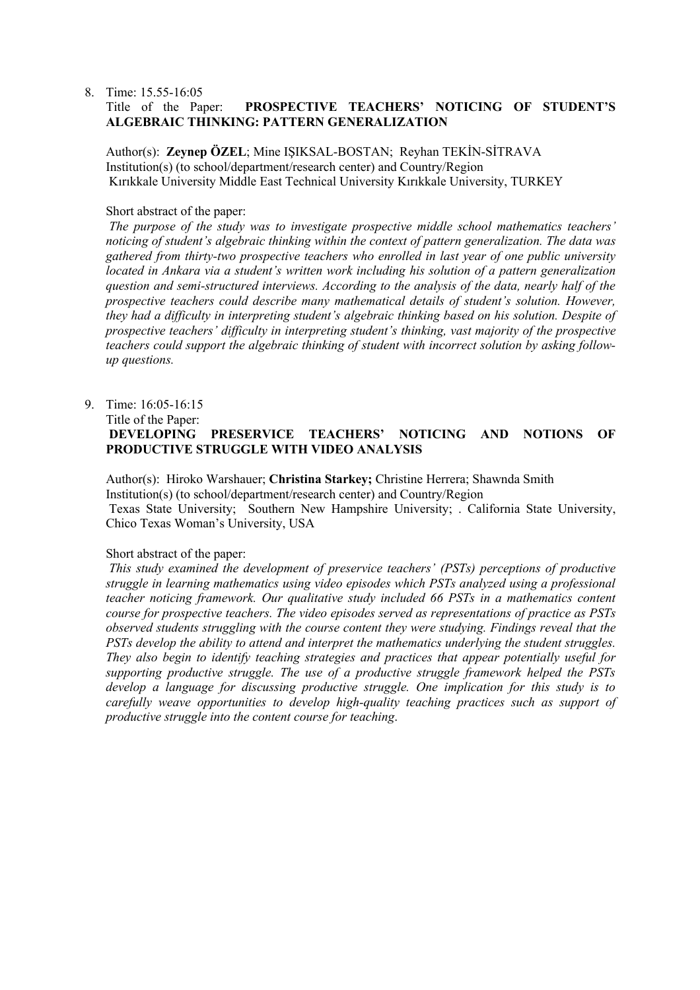#### 8. Time: 15.55-16:05 Title of the Paper: **PROSPECTIVE TEACHERS' NOTICING OF STUDENT'S ALGEBRAIC THINKING: PATTERN GENERALIZATION**

Author(s): **Zeynep ÖZEL**; Mine IŞIKSAL-BOSTAN; Reyhan TEKİN-SİTRAVA Institution(s) (to school/department/research center) and Country/Region Kırıkkale University Middle East Technical University Kırıkkale University, TURKEY

### Short abstract of the paper:

*The purpose of the study was to investigate prospective middle school mathematics teachers' noticing of student's algebraic thinking within the context of pattern generalization. The data was gathered from thirty-two prospective teachers who enrolled in last year of one public university located in Ankara via a student's written work including his solution of a pattern generalization question and semi-structured interviews. According to the analysis of the data, nearly half of the prospective teachers could describe many mathematical details of student's solution. However, they had a difficulty in interpreting student's algebraic thinking based on his solution. Despite of prospective teachers' difficulty in interpreting student's thinking, vast majority of the prospective teachers could support the algebraic thinking of student with incorrect solution by asking followup questions.*

### 9. Time: 16:05-16:15 Title of the Paper: **DEVELOPING PRESERVICE TEACHERS' NOTICING AND NOTIONS OF PRODUCTIVE STRUGGLE WITH VIDEO ANALYSIS**

Author(s): Hiroko Warshauer; **Christina Starkey;** Christine Herrera; Shawnda Smith Institution(s) (to school/department/research center) and Country/Region Texas State University; Southern New Hampshire University; . California State University, Chico Texas Woman's University, USA

#### Short abstract of the paper:

*This study examined the development of preservice teachers' (PSTs) perceptions of productive struggle in learning mathematics using video episodes which PSTs analyzed using a professional teacher noticing framework. Our qualitative study included 66 PSTs in a mathematics content course for prospective teachers. The video episodes served as representations of practice as PSTs observed students struggling with the course content they were studying. Findings reveal that the PSTs develop the ability to attend and interpret the mathematics underlying the student struggles. They also begin to identify teaching strategies and practices that appear potentially useful for supporting productive struggle. The use of a productive struggle framework helped the PSTs develop a language for discussing productive struggle. One implication for this study is to carefully weave opportunities to develop high-quality teaching practices such as support of productive struggle into the content course for teaching*.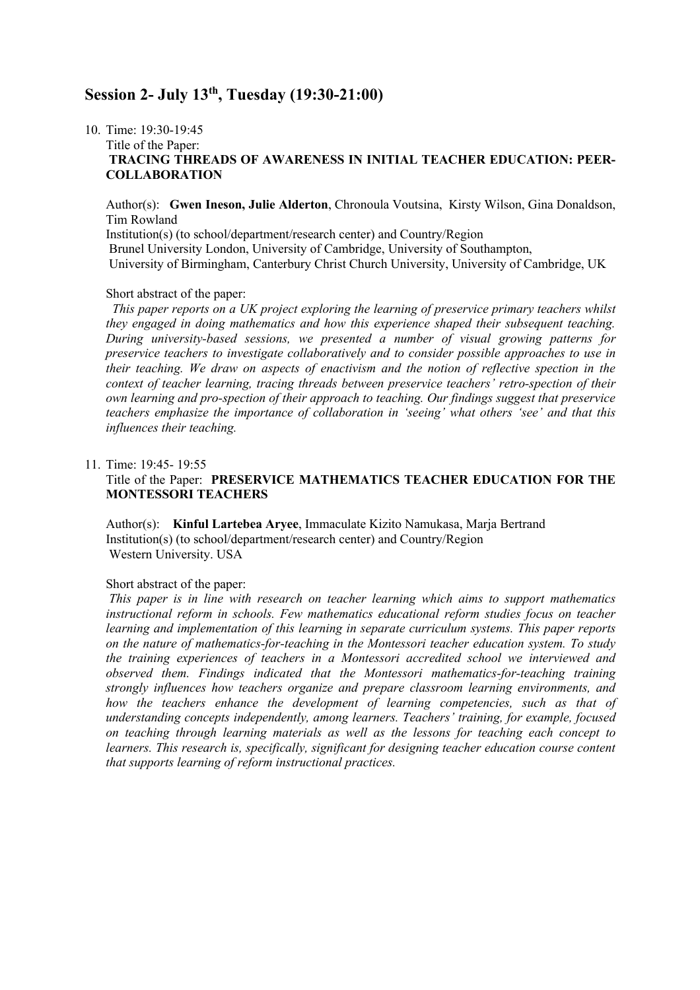## **Session 2- July 13th, Tuesday (19:30-21:00)**

## 10. Time: 19:30-19:45

### Title of the Paper: **TRACING THREADS OF AWARENESS IN INITIAL TEACHER EDUCATION: PEER-COLLABORATION**

Author(s): **Gwen Ineson, Julie Alderton**, Chronoula Voutsina, Kirsty Wilson, Gina Donaldson, Tim Rowland Institution(s) (to school/department/research center) and Country/Region Brunel University London, University of Cambridge, University of Southampton, University of Birmingham, Canterbury Christ Church University, University of Cambridge, UK

#### Short abstract of the paper:

 *This paper reports on a UK project exploring the learning of preservice primary teachers whilst they engaged in doing mathematics and how this experience shaped their subsequent teaching. During university-based sessions, we presented a number of visual growing patterns for preservice teachers to investigate collaboratively and to consider possible approaches to use in their teaching. We draw on aspects of enactivism and the notion of reflective spection in the context of teacher learning, tracing threads between preservice teachers' retro-spection of their own learning and pro-spection of their approach to teaching. Our findings suggest that preservice teachers emphasize the importance of collaboration in 'seeing' what others 'see' and that this influences their teaching.*

#### 11. Time: 19:45- 19:55

### Title of the Paper: **PRESERVICE MATHEMATICS TEACHER EDUCATION FOR THE MONTESSORI TEACHERS**

Author(s): **Kinful Lartebea Aryee**, Immaculate Kizito Namukasa, Marja Bertrand Institution(s) (to school/department/research center) and Country/Region Western University. USA

#### Short abstract of the paper:

*This paper is in line with research on teacher learning which aims to support mathematics instructional reform in schools. Few mathematics educational reform studies focus on teacher learning and implementation of this learning in separate curriculum systems. This paper reports on the nature of mathematics-for-teaching in the Montessori teacher education system. To study the training experiences of teachers in a Montessori accredited school we interviewed and observed them. Findings indicated that the Montessori mathematics-for-teaching training strongly influences how teachers organize and prepare classroom learning environments, and how the teachers enhance the development of learning competencies, such as that of understanding concepts independently, among learners. Teachers' training, for example, focused on teaching through learning materials as well as the lessons for teaching each concept to learners. This research is, specifically, significant for designing teacher education course content that supports learning of reform instructional practices.*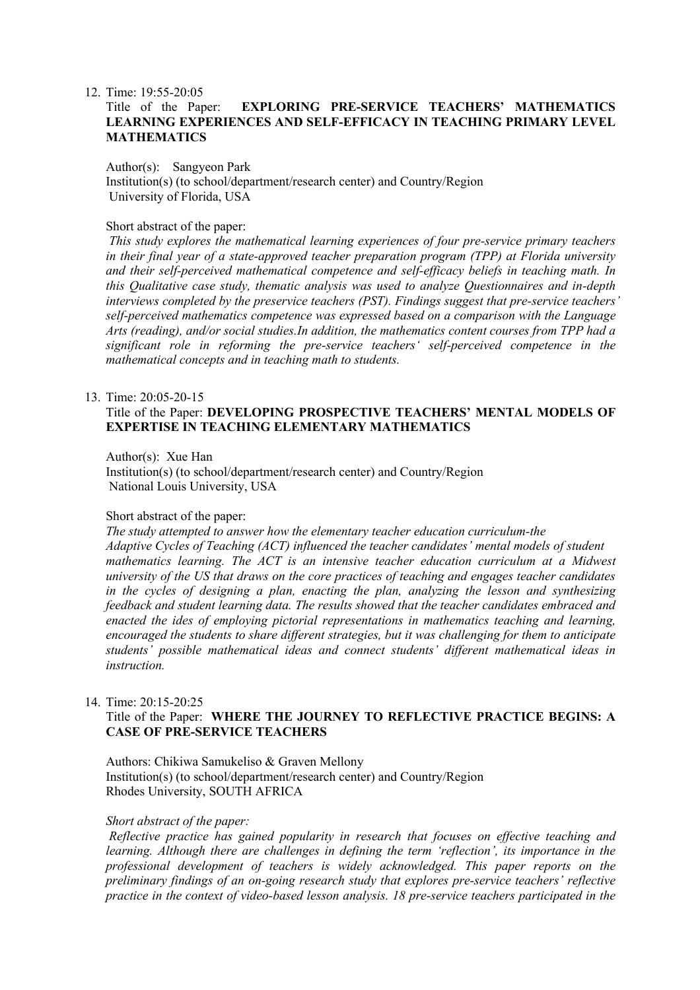#### 12. Time: 19:55-20:05

### Title of the Paper: **EXPLORING PRE-SERVICE TEACHERS' MATHEMATICS LEARNING EXPERIENCES AND SELF-EFFICACY IN TEACHING PRIMARY LEVEL MATHEMATICS**

#### Author(s): Sangyeon Park

Institution(s) (to school/department/research center) and Country/Region University of Florida, USA

#### Short abstract of the paper:

*This study explores the mathematical learning experiences of four pre-service primary teachers in their final year of a state-approved teacher preparation program (TPP) at Florida university and their self-perceived mathematical competence and self-efficacy beliefs in teaching math. In this Qualitative case study, thematic analysis was used to analyze Questionnaires and in-depth interviews completed by the preservice teachers (PST). Findings suggest that pre-service teachers' self-perceived mathematics competence was expressed based on a comparison with the Language Arts (reading), and/or social studies.In addition, the mathematics content courses from TPP had a significant role in reforming the pre-service teachers' self-perceived competence in the mathematical concepts and in teaching math to students.*

#### 13. Time: 20:05-20-15

### Title of the Paper: **DEVELOPING PROSPECTIVE TEACHERS' MENTAL MODELS OF EXPERTISE IN TEACHING ELEMENTARY MATHEMATICS**

Author(s): Xue Han

Institution(s) (to school/department/research center) and Country/Region National Louis University, USA

#### Short abstract of the paper:

*The study attempted to answer how the elementary teacher education curriculum-the Adaptive Cycles of Teaching (ACT) influenced the teacher candidates' mental models of student mathematics learning. The ACT is an intensive teacher education curriculum at a Midwest university of the US that draws on the core practices of teaching and engages teacher candidates in the cycles of designing a plan, enacting the plan, analyzing the lesson and synthesizing feedback and student learning data. The results showed that the teacher candidates embraced and enacted the ides of employing pictorial representations in mathematics teaching and learning, encouraged the students to share different strategies, but it was challenging for them to anticipate students' possible mathematical ideas and connect students' different mathematical ideas in instruction.*

#### 14. Time: 20:15-20:25

### Title of the Paper: **WHERE THE JOURNEY TO REFLECTIVE PRACTICE BEGINS: A CASE OF PRE-SERVICE TEACHERS**

Authors: Chikiwa Samukeliso & Graven Mellony Institution(s) (to school/department/research center) and Country/Region Rhodes University, SOUTH AFRICA

#### *Short abstract of the paper:*

*Reflective practice has gained popularity in research that focuses on effective teaching and learning. Although there are challenges in defining the term 'reflection', its importance in the professional development of teachers is widely acknowledged. This paper reports on the preliminary findings of an on-going research study that explores pre-service teachers' reflective practice in the context of video-based lesson analysis. 18 pre-service teachers participated in the*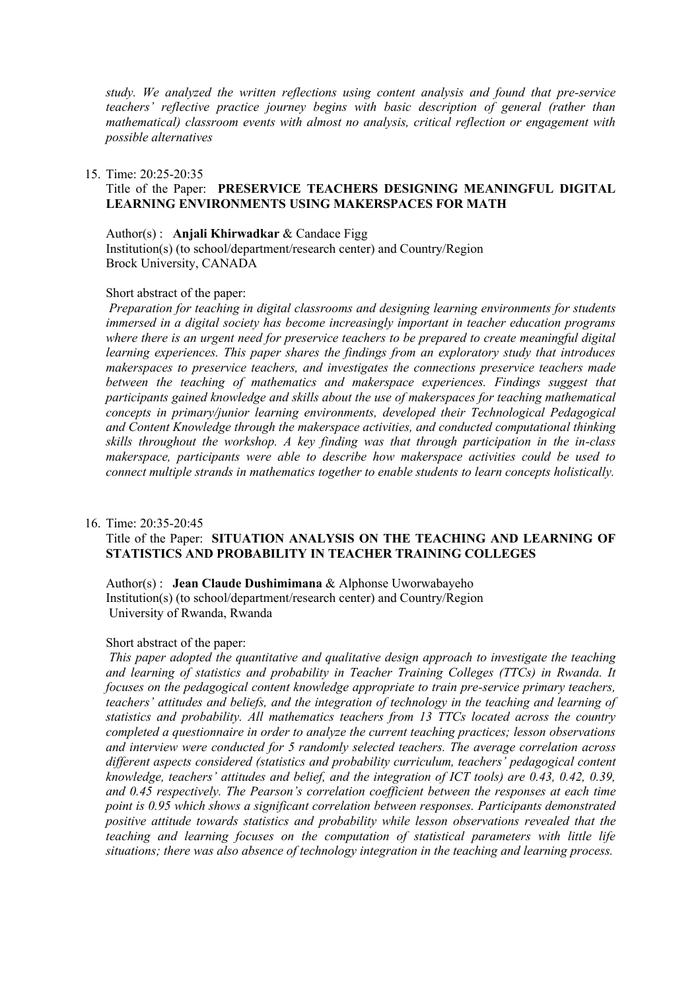*study. We analyzed the written reflections using content analysis and found that pre-service teachers' reflective practice journey begins with basic description of general (rather than mathematical) classroom events with almost no analysis, critical reflection or engagement with possible alternatives*

#### 15. Time: 20:25-20:35

### Title of the Paper: **PRESERVICE TEACHERS DESIGNING MEANINGFUL DIGITAL LEARNING ENVIRONMENTS USING MAKERSPACES FOR MATH**

Author(s) : **Anjali Khirwadkar** & Candace Figg Institution(s) (to school/department/research center) and Country/Region Brock University, CANADA

#### Short abstract of the paper:

*Preparation for teaching in digital classrooms and designing learning environments for students immersed in a digital society has become increasingly important in teacher education programs where there is an urgent need for preservice teachers to be prepared to create meaningful digital learning experiences. This paper shares the findings from an exploratory study that introduces makerspaces to preservice teachers, and investigates the connections preservice teachers made between the teaching of mathematics and makerspace experiences. Findings suggest that participants gained knowledge and skills about the use of makerspaces for teaching mathematical concepts in primary/junior learning environments, developed their Technological Pedagogical and Content Knowledge through the makerspace activities, and conducted computational thinking skills throughout the workshop. A key finding was that through participation in the in-class makerspace, participants were able to describe how makerspace activities could be used to connect multiple strands in mathematics together to enable students to learn concepts holistically.*

#### 16. Time: 20:35-20:45

### Title of the Paper: **SITUATION ANALYSIS ON THE TEACHING AND LEARNING OF STATISTICS AND PROBABILITY IN TEACHER TRAINING COLLEGES**

Author(s) : **Jean Claude Dushimimana** & Alphonse Uworwabayeho Institution(s) (to school/department/research center) and Country/Region University of Rwanda, Rwanda

#### Short abstract of the paper:

*This paper adopted the quantitative and qualitative design approach to investigate the teaching and learning of statistics and probability in Teacher Training Colleges (TTCs) in Rwanda. It focuses on the pedagogical content knowledge appropriate to train pre-service primary teachers, teachers' attitudes and beliefs, and the integration of technology in the teaching and learning of statistics and probability. All mathematics teachers from 13 TTCs located across the country completed a questionnaire in order to analyze the current teaching practices; lesson observations and interview were conducted for 5 randomly selected teachers. The average correlation across different aspects considered (statistics and probability curriculum, teachers' pedagogical content knowledge, teachers' attitudes and belief, and the integration of ICT tools) are 0.43, 0.42, 0.39, and 0.45 respectively. The Pearson's correlation coefficient between the responses at each time point is 0.95 which shows a significant correlation between responses. Participants demonstrated positive attitude towards statistics and probability while lesson observations revealed that the teaching and learning focuses on the computation of statistical parameters with little life situations; there was also absence of technology integration in the teaching and learning process.*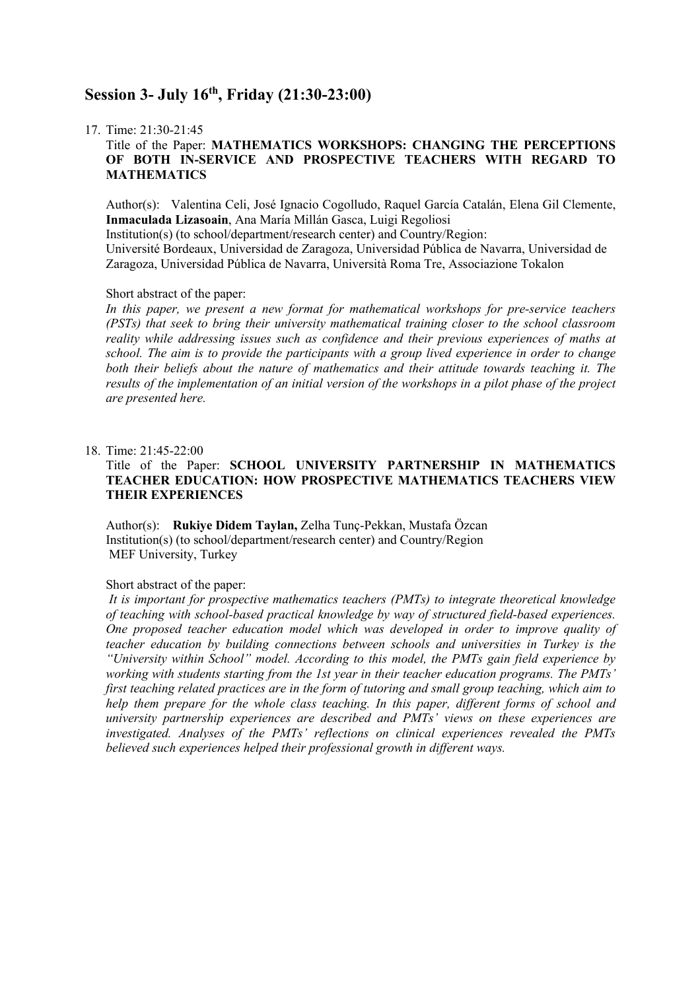## **Session 3- July 16th, Friday (21:30-23:00)**

#### 17. Time: 21:30-21:45

### Title of the Paper: **MATHEMATICS WORKSHOPS: CHANGING THE PERCEPTIONS OF BOTH IN-SERVICE AND PROSPECTIVE TEACHERS WITH REGARD TO MATHEMATICS**

Author(s): Valentina Celi, José Ignacio Cogolludo, Raquel García Catalán, Elena Gil Clemente, **Inmaculada Lizasoain**, Ana María Millán Gasca, Luigi Regoliosi

Institution(s) (to school/department/research center) and Country/Region:

Université Bordeaux, Universidad de Zaragoza, Universidad Pública de Navarra, Universidad de Zaragoza, Universidad Pública de Navarra, Università Roma Tre, Associazione Tokalon

#### Short abstract of the paper:

*In this paper, we present a new format for mathematical workshops for pre-service teachers (PSTs) that seek to bring their university mathematical training closer to the school classroom reality while addressing issues such as confidence and their previous experiences of maths at school. The aim is to provide the participants with a group lived experience in order to change both their beliefs about the nature of mathematics and their attitude towards teaching it. The results of the implementation of an initial version of the workshops in a pilot phase of the project are presented here.*

#### 18. Time: 21:45-22:00

### Title of the Paper: **SCHOOL UNIVERSITY PARTNERSHIP IN MATHEMATICS TEACHER EDUCATION: HOW PROSPECTIVE MATHEMATICS TEACHERS VIEW THEIR EXPERIENCES**

Author(s): **Rukiye Didem Taylan,** Zelha Tunç-Pekkan, Mustafa Özcan Institution(s) (to school/department/research center) and Country/Region MEF University, Turkey

### Short abstract of the paper:

*It is important for prospective mathematics teachers (PMTs) to integrate theoretical knowledge of teaching with school-based practical knowledge by way of structured field-based experiences. One proposed teacher education model which was developed in order to improve quality of teacher education by building connections between schools and universities in Turkey is the "University within School" model. According to this model, the PMTs gain field experience by working with students starting from the 1st year in their teacher education programs. The PMTs' first teaching related practices are in the form of tutoring and small group teaching, which aim to help them prepare for the whole class teaching. In this paper, different forms of school and university partnership experiences are described and PMTs' views on these experiences are investigated. Analyses of the PMTs' reflections on clinical experiences revealed the PMTs believed such experiences helped their professional growth in different ways.*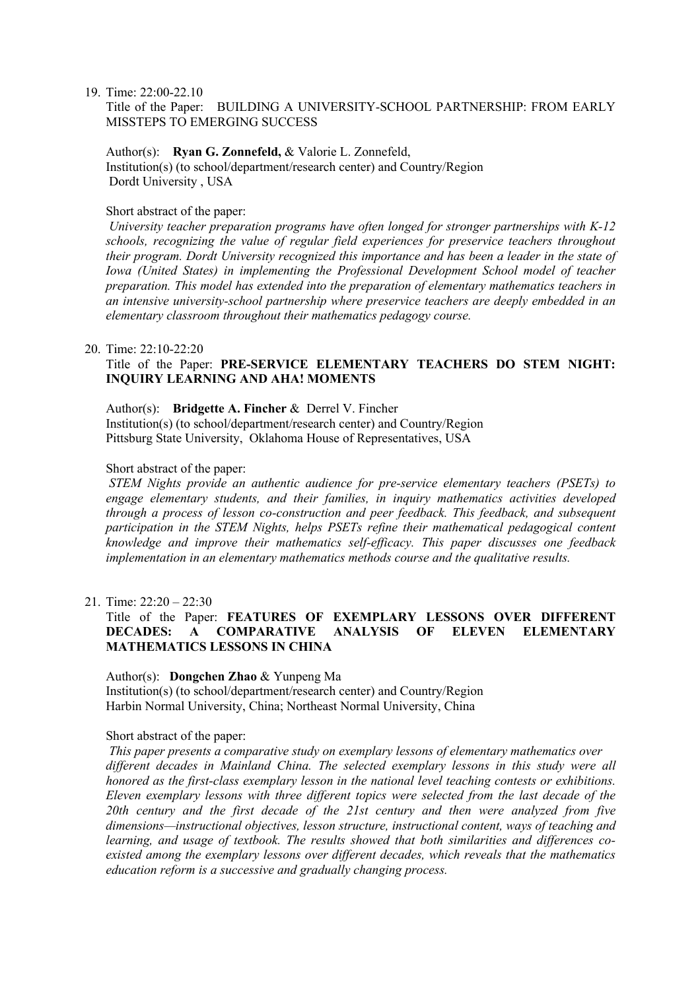19. Time: 22:00-22.10

Title of the Paper: BUILDING A UNIVERSITY-SCHOOL PARTNERSHIP: FROM EARLY MISSTEPS TO EMERGING SUCCESS

Author(s): **Ryan G. Zonnefeld,** & Valorie L. Zonnefeld,

Institution(s) (to school/department/research center) and Country/Region Dordt University , USA

### Short abstract of the paper:

*University teacher preparation programs have often longed for stronger partnerships with K-12 schools, recognizing the value of regular field experiences for preservice teachers throughout their program. Dordt University recognized this importance and has been a leader in the state of Iowa (United States) in implementing the Professional Development School model of teacher preparation. This model has extended into the preparation of elementary mathematics teachers in an intensive university-school partnership where preservice teachers are deeply embedded in an elementary classroom throughout their mathematics pedagogy course.*

#### 20. Time: 22:10-22:20

### Title of the Paper: **PRE-SERVICE ELEMENTARY TEACHERS DO STEM NIGHT: INQUIRY LEARNING AND AHA! MOMENTS**

Author(s): **Bridgette A. Fincher** & Derrel V. Fincher Institution(s) (to school/department/research center) and Country/Region Pittsburg State University, Oklahoma House of Representatives, USA

#### Short abstract of the paper:

*STEM Nights provide an authentic audience for pre-service elementary teachers (PSETs) to engage elementary students, and their families, in inquiry mathematics activities developed through a process of lesson co-construction and peer feedback. This feedback, and subsequent participation in the STEM Nights, helps PSETs refine their mathematical pedagogical content knowledge and improve their mathematics self-efficacy. This paper discusses one feedback implementation in an elementary mathematics methods course and the qualitative results.*

21. Time: 22:20 – 22:30

### Title of the Paper: **FEATURES OF EXEMPLARY LESSONS OVER DIFFERENT DECADES: A COMPARATIVE ANALYSIS OF ELEVEN ELEMENTARY MATHEMATICS LESSONS IN CHINA**

### Author(s): **Dongchen Zhao** & Yunpeng Ma Institution(s) (to school/department/research center) and Country/Region Harbin Normal University, China; Northeast Normal University, China

#### Short abstract of the paper:

*This paper presents a comparative study on exemplary lessons of elementary mathematics over different decades in Mainland China. The selected exemplary lessons in this study were all honored as the first-class exemplary lesson in the national level teaching contests or exhibitions. Eleven exemplary lessons with three different topics were selected from the last decade of the 20th century and the first decade of the 21st century and then were analyzed from five dimensions—instructional objectives, lesson structure, instructional content, ways of teaching and learning, and usage of textbook. The results showed that both similarities and differences coexisted among the exemplary lessons over different decades, which reveals that the mathematics education reform is a successive and gradually changing process.*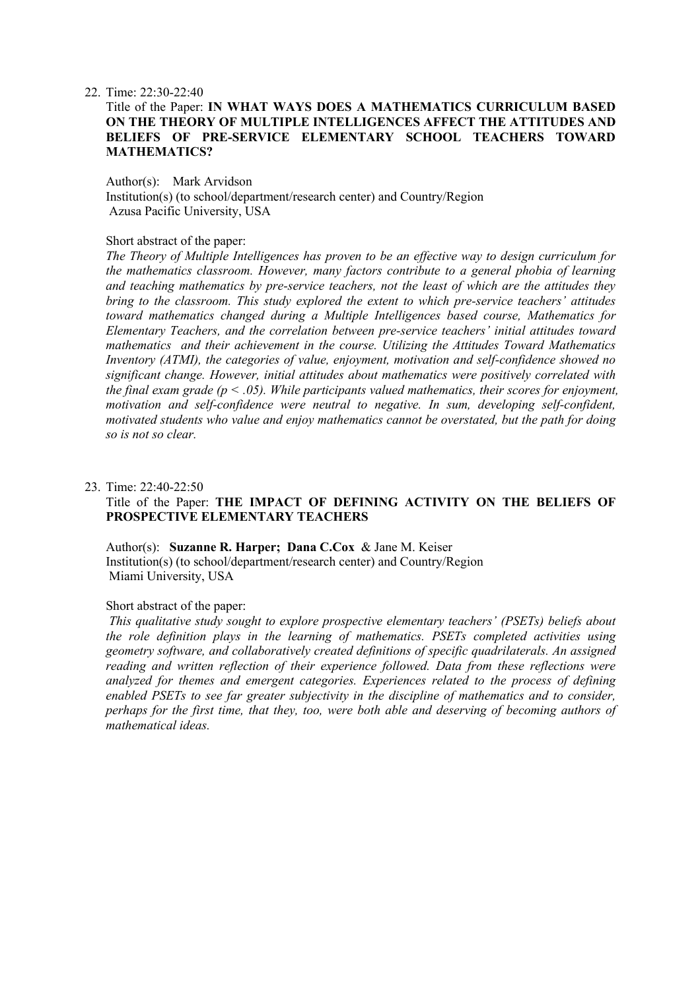22. Time: 22:30-22:40

### Title of the Paper: **IN WHAT WAYS DOES A MATHEMATICS CURRICULUM BASED ON THE THEORY OF MULTIPLE INTELLIGENCES AFFECT THE ATTITUDES AND BELIEFS OF PRE-SERVICE ELEMENTARY SCHOOL TEACHERS TOWARD MATHEMATICS?**

#### Author(s): Mark Arvidson

Institution(s) (to school/department/research center) and Country/Region Azusa Pacific University, USA

#### Short abstract of the paper:

*The Theory of Multiple Intelligences has proven to be an effective way to design curriculum for the mathematics classroom. However, many factors contribute to a general phobia of learning and teaching mathematics by pre-service teachers, not the least of which are the attitudes they bring to the classroom. This study explored the extent to which pre-service teachers' attitudes toward mathematics changed during a Multiple Intelligences based course, Mathematics for Elementary Teachers, and the correlation between pre-service teachers' initial attitudes toward mathematics and their achievement in the course. Utilizing the Attitudes Toward Mathematics Inventory (ATMI), the categories of value, enjoyment, motivation and self-confidence showed no significant change. However, initial attitudes about mathematics were positively correlated with the final exam grade (p < .05). While participants valued mathematics, their scores for enjoyment, motivation and self-confidence were neutral to negative. In sum, developing self-confident, motivated students who value and enjoy mathematics cannot be overstated, but the path for doing so is not so clear.*

#### 23. Time: 22:40-22:50

### Title of the Paper: **THE IMPACT OF DEFINING ACTIVITY ON THE BELIEFS OF PROSPECTIVE ELEMENTARY TEACHERS**

Author(s): **Suzanne R. Harper; Dana C.Cox** & Jane M. Keiser Institution(s) (to school/department/research center) and Country/Region Miami University, USA

#### Short abstract of the paper:

*This qualitative study sought to explore prospective elementary teachers' (PSETs) beliefs about the role definition plays in the learning of mathematics. PSETs completed activities using geometry software, and collaboratively created definitions of specific quadrilaterals. An assigned reading and written reflection of their experience followed. Data from these reflections were analyzed for themes and emergent categories. Experiences related to the process of defining enabled PSETs to see far greater subjectivity in the discipline of mathematics and to consider, perhaps for the first time, that they, too, were both able and deserving of becoming authors of mathematical ideas.*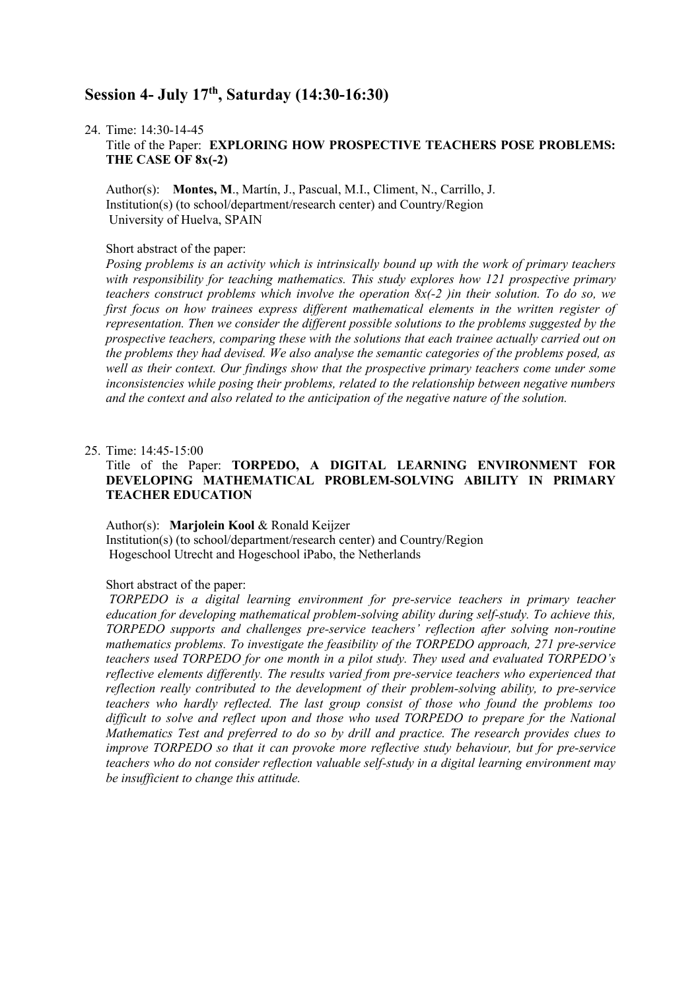## **Session 4- July 17th, Saturday (14:30-16:30)**

24. Time: 14:30-14-45

Title of the Paper: **EXPLORING HOW PROSPECTIVE TEACHERS POSE PROBLEMS: THE CASE OF 8x(-2)**

Author(s): **Montes, M**., Martín, J., Pascual, M.I., Climent, N., Carrillo, J. Institution(s) (to school/department/research center) and Country/Region University of Huelva, SPAIN

#### Short abstract of the paper:

*Posing problems is an activity which is intrinsically bound up with the work of primary teachers with responsibility for teaching mathematics. This study explores how 121 prospective primary teachers construct problems which involve the operation 8x(-2 )in their solution. To do so, we first focus on how trainees express different mathematical elements in the written register of representation. Then we consider the different possible solutions to the problems suggested by the prospective teachers, comparing these with the solutions that each trainee actually carried out on the problems they had devised. We also analyse the semantic categories of the problems posed, as*  well as their context. Our findings show that the prospective primary teachers come under some *inconsistencies while posing their problems, related to the relationship between negative numbers and the context and also related to the anticipation of the negative nature of the solution.*

#### 25. Time: 14:45-15:00

### Title of the Paper: **TORPEDO, A DIGITAL LEARNING ENVIRONMENT FOR DEVELOPING MATHEMATICAL PROBLEM-SOLVING ABILITY IN PRIMARY TEACHER EDUCATION**

Author(s): **Marjolein Kool** & Ronald Keijzer Institution(s) (to school/department/research center) and Country/Region Hogeschool Utrecht and Hogeschool iPabo, the Netherlands

### Short abstract of the paper:

*TORPEDO is a digital learning environment for pre-service teachers in primary teacher education for developing mathematical problem-solving ability during self-study. To achieve this, TORPEDO supports and challenges pre-service teachers' reflection after solving non-routine mathematics problems. To investigate the feasibility of the TORPEDO approach, 271 pre-service teachers used TORPEDO for one month in a pilot study. They used and evaluated TORPEDO's reflective elements differently. The results varied from pre-service teachers who experienced that reflection really contributed to the development of their problem-solving ability, to pre-service teachers who hardly reflected. The last group consist of those who found the problems too difficult to solve and reflect upon and those who used TORPEDO to prepare for the National Mathematics Test and preferred to do so by drill and practice. The research provides clues to improve TORPEDO so that it can provoke more reflective study behaviour, but for pre-service teachers who do not consider reflection valuable self-study in a digital learning environment may be insufficient to change this attitude.*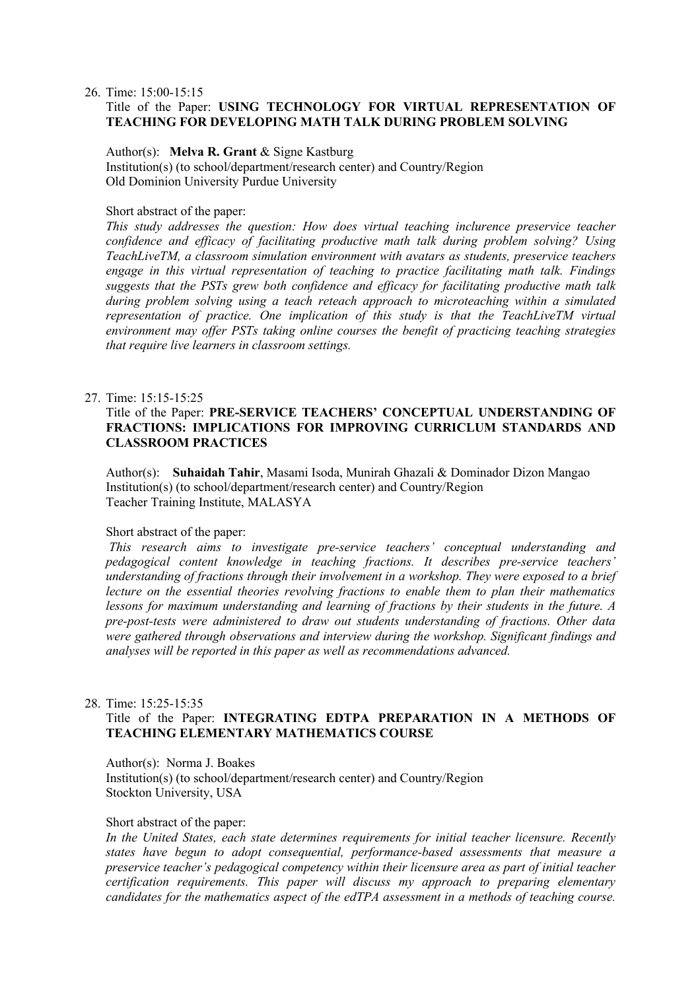26. Time: 15:00-15:15

### Title of the Paper: **USING TECHNOLOGY FOR VIRTUAL REPRESENTATION OF TEACHING FOR DEVELOPING MATH TALK DURING PROBLEM SOLVING**

Author(s): **Melva R. Grant** & Signe Kastburg Institution(s) (to school/department/research center) and Country/Region Old Dominion University Purdue University

### Short abstract of the paper:

*This study addresses the question: How does virtual teaching inclurence preservice teacher confidence and efficacy of facilitating productive math talk during problem solving? Using TeachLiveTM, a classroom simulation environment with avatars as students, preservice teachers engage in this virtual representation of teaching to practice facilitating math talk. Findings suggests that the PSTs grew both confidence and efficacy for facilitating productive math talk during problem solving using a teach reteach approach to microteaching within a simulated representation of practice. One implication of this study is that the TeachLiveTM virtual environment may offer PSTs taking online courses the benefit of practicing teaching strategies that require live learners in classroom settings.*

### 27. Time: 15:15-15:25

### Title of the Paper: **PRE-SERVICE TEACHERS' CONCEPTUAL UNDERSTANDING OF FRACTIONS: IMPLICATIONS FOR IMPROVING CURRICLUM STANDARDS AND CLASSROOM PRACTICES**

Author(s): **Suhaidah Tahir**, Masami Isoda, Munirah Ghazali & Dominador Dizon Mangao Institution(s) (to school/department/research center) and Country/Region Teacher Training Institute, MALASYA

#### Short abstract of the paper:

*This research aims to investigate pre-service teachers' conceptual understanding and pedagogical content knowledge in teaching fractions. It describes pre-service teachers' understanding of fractions through their involvement in a workshop. They were exposed to a brief lecture on the essential theories revolving fractions to enable them to plan their mathematics lessons for maximum understanding and learning of fractions by their students in the future. A pre-post-tests were administered to draw out students understanding of fractions. Other data were gathered through observations and interview during the workshop. Significant findings and analyses will be reported in this paper as well as recommendations advanced.*

#### 28. Time: 15:25-15:35

### Title of the Paper: **INTEGRATING EDTPA PREPARATION IN A METHODS OF TEACHING ELEMENTARY MATHEMATICS COURSE**

#### Author(s): Norma J. Boakes

Institution(s) (to school/department/research center) and Country/Region Stockton University, USA

#### Short abstract of the paper:

*In the United States, each state determines requirements for initial teacher licensure. Recently states have begun to adopt consequential, performance-based assessments that measure a preservice teacher's pedagogical competency within their licensure area as part of initial teacher certification requirements. This paper will discuss my approach to preparing elementary candidates for the mathematics aspect of the edTPA assessment in a methods of teaching course.*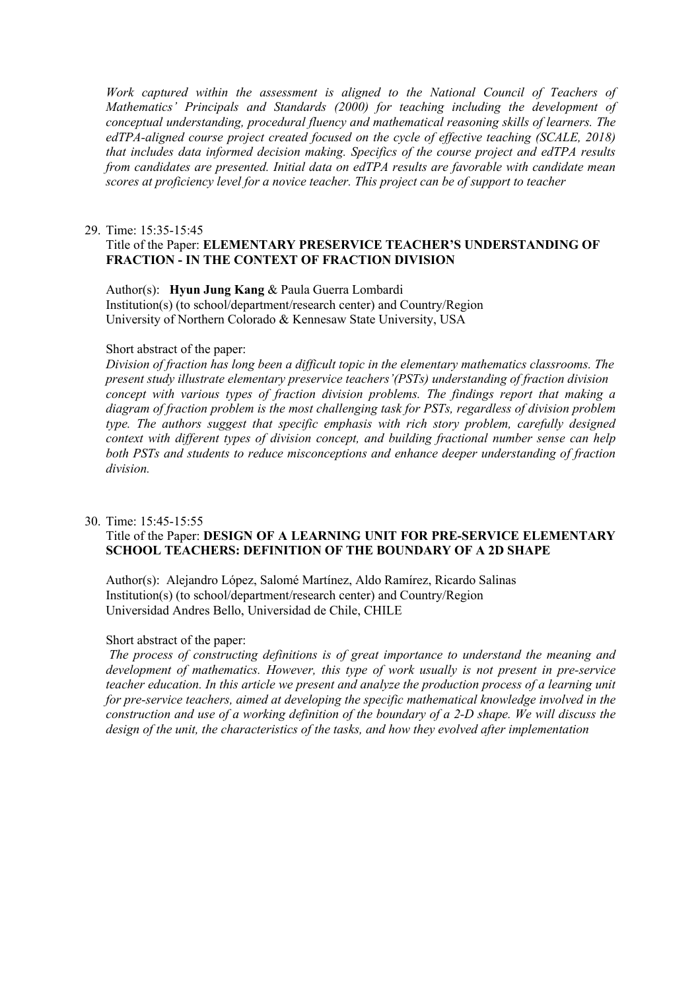Work captured within the assessment is aligned to the National Council of Teachers of *Mathematics' Principals and Standards (2000) for teaching including the development of conceptual understanding, procedural fluency and mathematical reasoning skills of learners. The edTPA-aligned course project created focused on the cycle of effective teaching (SCALE, 2018) that includes data informed decision making. Specifics of the course project and edTPA results from candidates are presented. Initial data on edTPA results are favorable with candidate mean scores at proficiency level for a novice teacher. This project can be of support to teacher*

#### 29. Time: 15:35-15:45

### Title of the Paper: **ELEMENTARY PRESERVICE TEACHER'S UNDERSTANDING OF FRACTION - IN THE CONTEXT OF FRACTION DIVISION**

Author(s): **Hyun Jung Kang** & Paula Guerra Lombardi Institution(s) (to school/department/research center) and Country/Region University of Northern Colorado & Kennesaw State University, USA

#### Short abstract of the paper:

*Division of fraction has long been a difficult topic in the elementary mathematics classrooms. The present study illustrate elementary preservice teachers'(PSTs) understanding of fraction division concept with various types of fraction division problems. The findings report that making a diagram of fraction problem is the most challenging task for PSTs, regardless of division problem type. The authors suggest that specific emphasis with rich story problem, carefully designed context with different types of division concept, and building fractional number sense can help both PSTs and students to reduce misconceptions and enhance deeper understanding of fraction division.*

#### 30. Time: 15:45-15:55

### Title of the Paper: **DESIGN OF A LEARNING UNIT FOR PRE-SERVICE ELEMENTARY SCHOOL TEACHERS: DEFINITION OF THE BOUNDARY OF A 2D SHAPE**

Author(s): Alejandro López, Salomé Martínez, Aldo Ramírez, Ricardo Salinas Institution(s) (to school/department/research center) and Country/Region Universidad Andres Bello, Universidad de Chile, CHILE

#### Short abstract of the paper:

*The process of constructing definitions is of great importance to understand the meaning and development of mathematics. However, this type of work usually is not present in pre-service teacher education. In this article we present and analyze the production process of a learning unit for pre-service teachers, aimed at developing the specific mathematical knowledge involved in the construction and use of a working definition of the boundary of a 2-D shape. We will discuss the design of the unit, the characteristics of the tasks, and how they evolved after implementation*